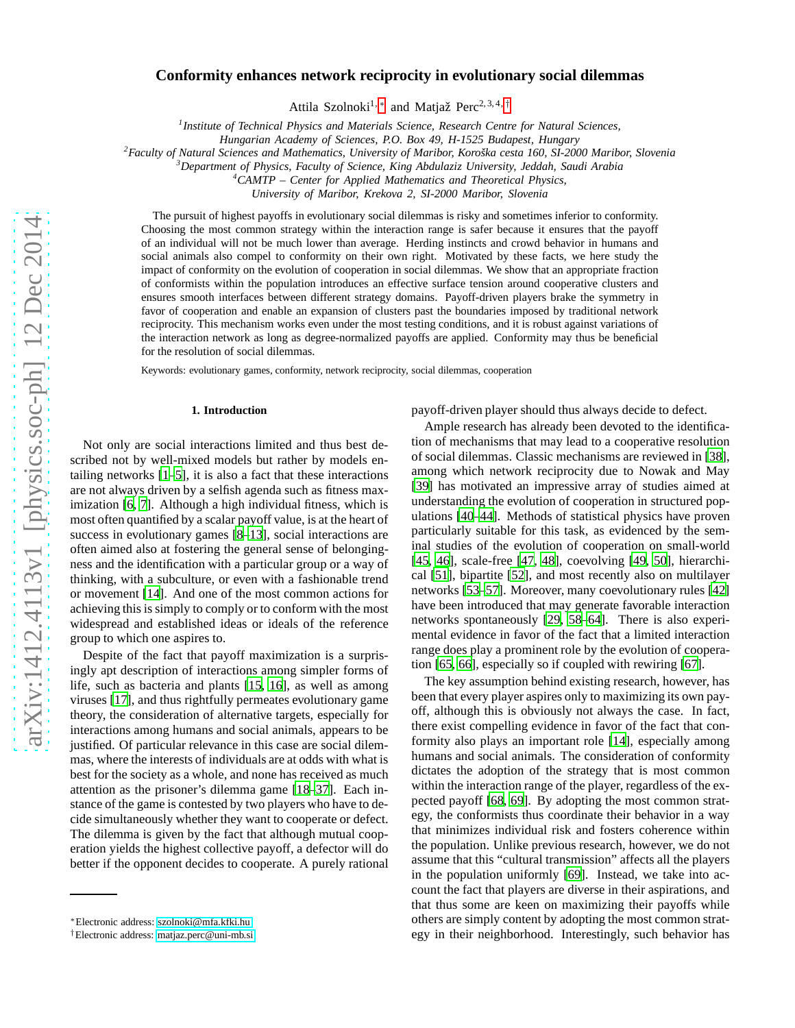# **Conformity enhances network reciprocity in evolutionary social dilemmas**

Attila Szolnoki<sup>1,[∗](#page-0-0)</sup> and Matjaž Perc<sup>2, 3, 4,[†](#page-0-1)</sup>

*1 Institute of Technical Physics and Materials Science, Research Centre for Natural Sciences,*

*Hungarian Academy of Sciences, P.O. Box 49, H-1525 Budapest, Hungary*

*<sup>2</sup>Faculty of Natural Sciences and Mathematics, University of Maribor, Koroˇska cesta 160, SI-2000 Maribor, Slovenia*

*<sup>3</sup>Department of Physics, Faculty of Science, King Abdulaziz University, Jeddah, Saudi Arabia*

*<sup>4</sup>CAMTP – Center for Applied Mathematics and Theoretical Physics,*

*University of Maribor, Krekova 2, SI-2000 Maribor, Slovenia*

The pursuit of highest payoffs in evolutionary social dilemmas is risky and sometimes inferior to conformity. Choosing the most common strategy within the interaction range is safer because it ensures that the payoff of an individual will not be much lower than average. Herding instincts and crowd behavior in humans and social animals also compel to conformity on their own right. Motivated by these facts, we here study the impact of conformity on the evolution of cooperation in social dilemmas. We show that an appropriate fraction of conformists within the population introduces an effective surface tension around cooperative clusters and ensures smooth interfaces between different strategy domains. Payoff-driven players brake the symmetry in favor of cooperation and enable an expansion of clusters past the boundaries imposed by traditional network reciprocity. This mechanism works even under the most testing conditions, and it is robust against variations of the interaction network as long as degree-normalized payoffs are applied. Conformity may thus be beneficial for the resolution of social dilemmas.

Keywords: evolutionary games, conformity, network reciprocity, social dilemmas, cooperation

#### **1. Introduction**

Not only are social interactions limited and thus best described not by well-mixed models but rather by models entailing networks [\[1](#page-5-0)[–5](#page-5-1)], it is also a fact that these interactions are not always driven by a selfish agenda such as fitness maximization [\[6,](#page-5-2) [7](#page-5-3)]. Although a high individual fitness, which is most often quantified by a scalar payoff value, is at the heart of success in evolutionary games [\[8](#page-5-4)[–13](#page-5-5)], social interactions are often aimed also at fostering the general sense of belongingness and the identification with a particular group or a way of thinking, with a subculture, or even with a fashionable trend or movement [\[14\]](#page-5-6). And one of the most common actions for achieving this is simply to comply or to conform with the most widespread and established ideas or ideals of the reference group to which one aspires to.

Despite of the fact that payoff maximization is a surprisingly apt description of interactions among simpler forms of life, such as bacteria and plants [\[15,](#page-6-0) [16\]](#page-6-1), as well as among viruses [\[17\]](#page-6-2), and thus rightfully permeates evolutionary game theory, the consideration of alternative targets, especially for interactions among humans and social animals, appears to be justified. Of particular relevance in this case are social dilemmas, where the interests of individuals are at odds with what is best for the society as a whole, and none has received as much attention as the prisoner's dilemma game [\[18](#page-6-3)[–37](#page-6-4)]. Each instance of the game is contested by two players who have to decide simultaneously whether they want to cooperate or defect. The dilemma is given by the fact that although mutual cooperation yields the highest collective payoff, a defector will do better if the opponent decides to cooperate. A purely rational

payoff-driven player should thus always decide to defect.

Ample research has already been devoted to the identification of mechanisms that may lead to a cooperative resolution of social dilemmas. Classic mechanisms are reviewed in [\[38](#page-6-5)], among which network reciprocity due to Nowak and May [\[39](#page-6-6)] has motivated an impressive array of studies aimed at understanding the evolution of cooperation in structured populations [\[40](#page-6-7)[–44\]](#page-6-8). Methods of statistical physics have proven particularly suitable for this task, as evidenced by the seminal studies of the evolution of cooperation on small-world [\[45](#page-6-9), [46](#page-6-10)], scale-free [\[47,](#page-6-11) [48\]](#page-6-12), coevolving [\[49,](#page-6-13) [50\]](#page-6-14), hierarchical [\[51](#page-6-15)], bipartite [\[52](#page-6-16)], and most recently also on multilayer networks [\[53](#page-6-17)[–57](#page-6-18)]. Moreover, many coevolutionary rules [\[42\]](#page-6-19) have been introduced that may generate favorable interaction networks spontaneously [\[29,](#page-6-20) [58](#page-6-21)[–64\]](#page-7-0). There is also experimental evidence in favor of the fact that a limited interaction range does play a prominent role by the evolution of cooperation [\[65](#page-7-1), [66](#page-7-2)], especially so if coupled with rewiring [\[67](#page-7-3)].

The key assumption behind existing research, however, has been that every player aspires only to maximizing its own payoff, although this is obviously not always the case. In fact, there exist compelling evidence in favor of the fact that conformity also plays an important role [\[14](#page-5-6)], especially among humans and social animals. The consideration of conformity dictates the adoption of the strategy that is most common within the interaction range of the player, regardless of the expected payoff [\[68,](#page-7-4) [69\]](#page-7-5). By adopting the most common strategy, the conformists thus coordinate their behavior in a way that minimizes individual risk and fosters coherence within the population. Unlike previous research, however, we do not assume that this "cultural transmission" affects all the players in the population uniformly [\[69\]](#page-7-5). Instead, we take into account the fact that players are diverse in their aspirations, and that thus some are keen on maximizing their payoffs while others are simply content by adopting the most common strategy in their neighborhood. Interestingly, such behavior has

<span id="page-0-0"></span><sup>∗</sup>Electronic address: [szolnoki@mfa.kfki.hu](mailto:szolnoki@mfa.kfki.hu)

<span id="page-0-1"></span><sup>†</sup>Electronic address: [matjaz.perc@uni-mb.si](mailto:matjaz.perc@uni-mb.si)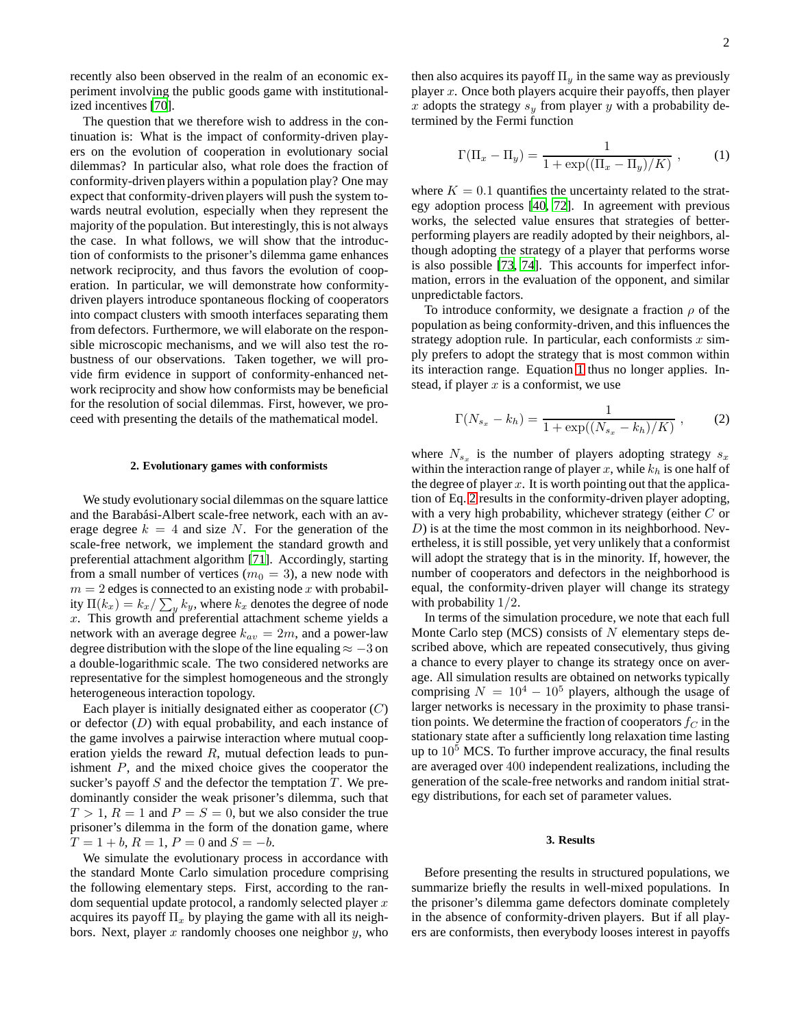recently also been observed in the realm of an economic experiment involving the public goods game with institutionalized incentives [\[70\]](#page-7-6).

The question that we therefore wish to address in the continuation is: What is the impact of conformity-driven players on the evolution of cooperation in evolutionary social dilemmas? In particular also, what role does the fraction of conformity-driven players within a population play? One may expect that conformity-driven players will push the system towards neutral evolution, especially when they represent the majority of the population. But interestingly, this is not always the case. In what follows, we will show that the introduction of conformists to the prisoner's dilemma game enhances network reciprocity, and thus favors the evolution of cooperation. In particular, we will demonstrate how conformitydriven players introduce spontaneous flocking of cooperators into compact clusters with smooth interfaces separating them from defectors. Furthermore, we will elaborate on the responsible microscopic mechanisms, and we will also test the robustness of our observations. Taken together, we will provide firm evidence in support of conformity-enhanced network reciprocity and show how conformists may be beneficial for the resolution of social dilemmas. First, however, we proceed with presenting the details of the mathematical model.

#### **2. Evolutionary games with conformists**

We study evolutionary social dilemmas on the square lattice and the Barabási-Albert scale-free network, each with an average degree  $k = 4$  and size N. For the generation of the scale-free network, we implement the standard growth and preferential attachment algorithm [\[71\]](#page-7-7). Accordingly, starting from a small number of vertices ( $m_0 = 3$ ), a new node with  $m = 2$  edges is connected to an existing node x with probability  $\Pi(k_x)=k_x/\sum_y k_y,$  where  $k_x$  denotes the degree of node  $x$ . This growth and preferential attachment scheme yields a network with an average degree  $k_{av} = 2m$ , and a power-law degree distribution with the slope of the line equaling  $\approx -3$  on a double-logarithmic scale. The two considered networks are representative for the simplest homogeneous and the strongly heterogeneous interaction topology.

Each player is initially designated either as cooperator  $(C)$ or defector  $(D)$  with equal probability, and each instance of the game involves a pairwise interaction where mutual cooperation yields the reward R, mutual defection leads to punishment P, and the mixed choice gives the cooperator the sucker's payoff  $S$  and the defector the temptation  $T$ . We predominantly consider the weak prisoner's dilemma, such that  $T > 1$ ,  $R = 1$  and  $P = S = 0$ , but we also consider the true prisoner's dilemma in the form of the donation game, where  $T = 1 + b$ ,  $R = 1$ ,  $P = 0$  and  $S = -b$ .

We simulate the evolutionary process in accordance with the standard Monte Carlo simulation procedure comprising the following elementary steps. First, according to the random sequential update protocol, a randomly selected player  $x$ acquires its payoff  $\Pi_x$  by playing the game with all its neighbors. Next, player  $x$  randomly chooses one neighbor  $y$ , who

then also acquires its payoff  $\Pi_y$  in the same way as previously player  $x$ . Once both players acquire their payoffs, then player x adopts the strategy  $s_y$  from player y with a probability determined by the Fermi function

<span id="page-1-0"></span>
$$
\Gamma(\Pi_x - \Pi_y) = \frac{1}{1 + \exp((\Pi_x - \Pi_y)/K)},
$$
\n(1)

where  $K = 0.1$  quantifies the uncertainty related to the strategy adoption process [\[40,](#page-6-7) [72\]](#page-7-8). In agreement with previous works, the selected value ensures that strategies of betterperforming players are readily adopted by their neighbors, although adopting the strategy of a player that performs worse is also possible [\[73,](#page-7-9) [74\]](#page-7-10). This accounts for imperfect information, errors in the evaluation of the opponent, and similar unpredictable factors.

To introduce conformity, we designate a fraction  $\rho$  of the population as being conformity-driven, and this influences the strategy adoption rule. In particular, each conformists  $x \sin$ ply prefers to adopt the strategy that is most common within its interaction range. Equation [1](#page-1-0) thus no longer applies. Instead, if player  $x$  is a conformist, we use

<span id="page-1-1"></span>
$$
\Gamma(N_{s_x} - k_h) = \frac{1}{1 + \exp((N_{s_x} - k_h)/K)},
$$
 (2)

where  $N_{s_x}$  is the number of players adopting strategy  $s_x$ within the interaction range of player x, while  $k_h$  is one half of the degree of player  $x$ . It is worth pointing out that the application of Eq. [2](#page-1-1) results in the conformity-driven player adopting, with a very high probability, whichever strategy (either C or  $D$ ) is at the time the most common in its neighborhood. Nevertheless, it is still possible, yet very unlikely that a conformist will adopt the strategy that is in the minority. If, however, the number of cooperators and defectors in the neighborhood is equal, the conformity-driven player will change its strategy with probability  $1/2$ .

In terms of the simulation procedure, we note that each full Monte Carlo step (MCS) consists of  $N$  elementary steps described above, which are repeated consecutively, thus giving a chance to every player to change its strategy once on average. All simulation results are obtained on networks typically comprising  $N = 10^4 - 10^5$  players, although the usage of larger networks is necessary in the proximity to phase transition points. We determine the fraction of cooperators  $f_C$  in the stationary state after a sufficiently long relaxation time lasting up to  $10<sup>5</sup>$  MCS. To further improve accuracy, the final results are averaged over 400 independent realizations, including the generation of the scale-free networks and random initial strategy distributions, for each set of parameter values.

### **3. Results**

Before presenting the results in structured populations, we summarize briefly the results in well-mixed populations. In the prisoner's dilemma game defectors dominate completely in the absence of conformity-driven players. But if all players are conformists, then everybody looses interest in payoffs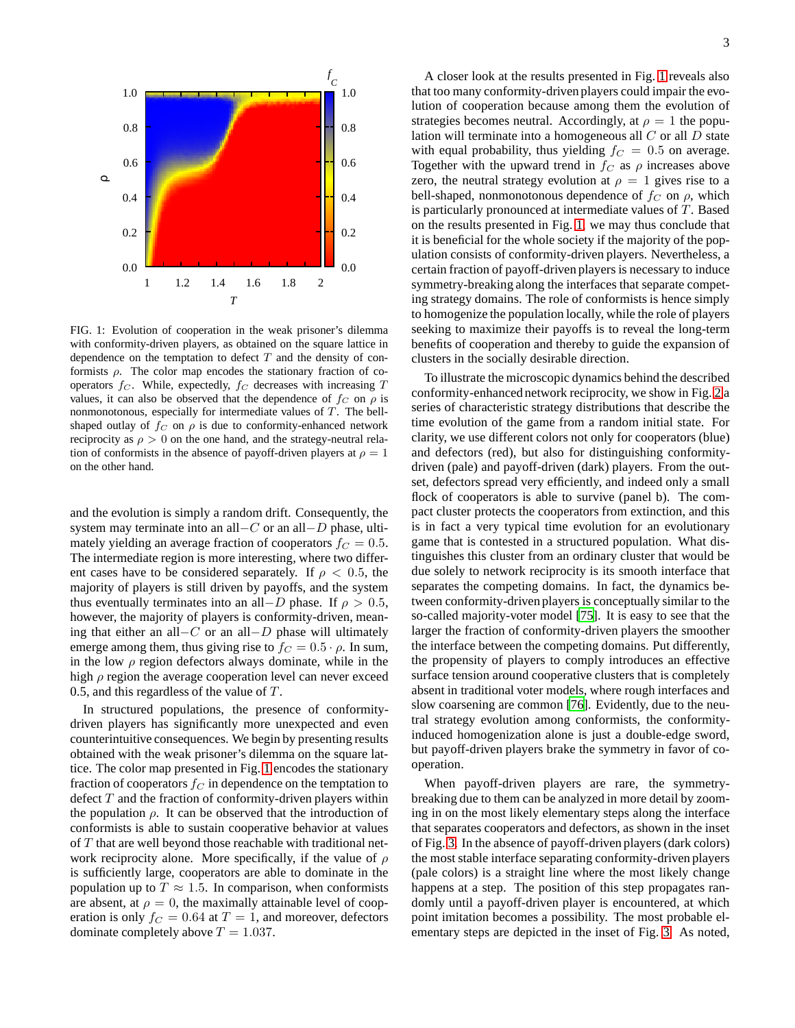

<span id="page-2-0"></span>FIG. 1: Evolution of cooperation in the weak prisoner's dilemma with conformity-driven players, as obtained on the square lattice in dependence on the temptation to defect  $T$  and the density of conformists  $\rho$ . The color map encodes the stationary fraction of cooperators  $f_C$ . While, expectedly,  $f_C$  decreases with increasing  $T$ values, it can also be observed that the dependence of  $f_C$  on  $\rho$  is nonmonotonous, especially for intermediate values of  $T$ . The bellshaped outlay of  $f_C$  on  $\rho$  is due to conformity-enhanced network reciprocity as  $\rho > 0$  on the one hand, and the strategy-neutral relation of conformists in the absence of payoff-driven players at  $\rho = 1$ on the other hand.

and the evolution is simply a random drift. Consequently, the system may terminate into an all−C or an all−D phase, ultimately yielding an average fraction of cooperators  $f_C = 0.5$ . The intermediate region is more interesting, where two different cases have to be considered separately. If  $\rho < 0.5$ , the majority of players is still driven by payoffs, and the system thus eventually terminates into an all−D phase. If  $\rho > 0.5$ , however, the majority of players is conformity-driven, meaning that either an all−C or an all−D phase will ultimately emerge among them, thus giving rise to  $f_C = 0.5 \cdot \rho$ . In sum, in the low  $\rho$  region defectors always dominate, while in the high  $\rho$  region the average cooperation level can never exceed 0.5, and this regardless of the value of  $T$ .

In structured populations, the presence of conformitydriven players has significantly more unexpected and even counterintuitive consequences. We begin by presenting results obtained with the weak prisoner's dilemma on the square lattice. The color map presented in Fig. [1](#page-2-0) encodes the stationary fraction of cooperators  $f_C$  in dependence on the temptation to defect  $T$  and the fraction of conformity-driven players within the population  $\rho$ . It can be observed that the introduction of conformists is able to sustain cooperative behavior at values of  $T$  that are well beyond those reachable with traditional network reciprocity alone. More specifically, if the value of  $\rho$ is sufficiently large, cooperators are able to dominate in the population up to  $T \approx 1.5$ . In comparison, when conformists are absent, at  $\rho = 0$ , the maximally attainable level of cooperation is only  $f_C = 0.64$  at  $T = 1$ , and moreover, defectors dominate completely above  $T = 1.037$ .

A closer look at the results presented in Fig. [1](#page-2-0) reveals also that too many conformity-driven players could impair the evolution of cooperation because among them the evolution of strategies becomes neutral. Accordingly, at  $\rho = 1$  the population will terminate into a homogeneous all  $C$  or all  $D$  state with equal probability, thus yielding  $f_C = 0.5$  on average. Together with the upward trend in  $f_C$  as  $\rho$  increases above zero, the neutral strategy evolution at  $\rho = 1$  gives rise to a bell-shaped, nonmonotonous dependence of  $f_C$  on  $\rho$ , which is particularly pronounced at intermediate values of  $T$ . Based on the results presented in Fig. [1,](#page-2-0) we may thus conclude that it is beneficial for the whole society if the majority of the population consists of conformity-driven players. Nevertheless, a certain fraction of payoff-driven players is necessary to induce symmetry-breaking along the interfaces that separate competing strategy domains. The role of conformists is hence simply to homogenize the population locally, while the role of players seeking to maximize their payoffs is to reveal the long-term benefits of cooperation and thereby to guide the expansion of clusters in the socially desirable direction.

To illustrate the microscopic dynamics behind the described conformity-enhanced network reciprocity, we show in Fig. [2](#page-3-0) a series of characteristic strategy distributions that describe the time evolution of the game from a random initial state. For clarity, we use different colors not only for cooperators (blue) and defectors (red), but also for distinguishing conformitydriven (pale) and payoff-driven (dark) players. From the outset, defectors spread very efficiently, and indeed only a small flock of cooperators is able to survive (panel b). The compact cluster protects the cooperators from extinction, and this is in fact a very typical time evolution for an evolutionary game that is contested in a structured population. What distinguishes this cluster from an ordinary cluster that would be due solely to network reciprocity is its smooth interface that separates the competing domains. In fact, the dynamics between conformity-driven players is conceptually similar to the so-called majority-voter model [\[75](#page-7-11)]. It is easy to see that the larger the fraction of conformity-driven players the smoother the interface between the competing domains. Put differently, the propensity of players to comply introduces an effective surface tension around cooperative clusters that is completely absent in traditional voter models, where rough interfaces and slow coarsening are common [\[76\]](#page-7-12). Evidently, due to the neutral strategy evolution among conformists, the conformityinduced homogenization alone is just a double-edge sword, but payoff-driven players brake the symmetry in favor of cooperation.

When payoff-driven players are rare, the symmetrybreaking due to them can be analyzed in more detail by zooming in on the most likely elementary steps along the interface that separates cooperators and defectors, as shown in the inset of Fig. [3.](#page-3-1) In the absence of payoff-driven players (dark colors) the most stable interface separating conformity-driven players (pale colors) is a straight line where the most likely change happens at a step. The position of this step propagates randomly until a payoff-driven player is encountered, at which point imitation becomes a possibility. The most probable elementary steps are depicted in the inset of Fig. [3.](#page-3-1) As noted,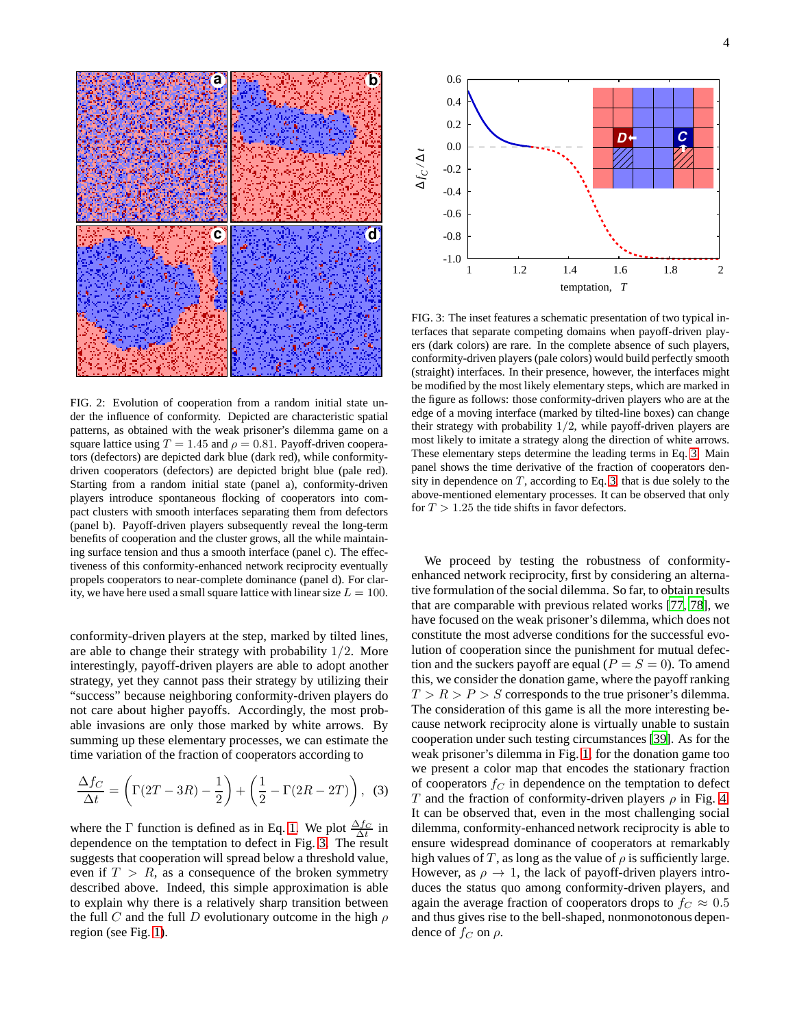

<span id="page-3-0"></span>FIG. 2: Evolution of cooperation from a random initial state under the influence of conformity. Depicted are characteristic spatial patterns, as obtained with the weak prisoner's dilemma game on a square lattice using  $T = 1.45$  and  $\rho = 0.81$ . Payoff-driven cooperators (defectors) are depicted dark blue (dark red), while conformitydriven cooperators (defectors) are depicted bright blue (pale red). Starting from a random initial state (panel a), conformity-driven players introduce spontaneous flocking of cooperators into compact clusters with smooth interfaces separating them from defectors (panel b). Payoff-driven players subsequently reveal the long-term benefits of cooperation and the cluster grows, all the while maintaining surface tension and thus a smooth interface (panel c). The effectiveness of this conformity-enhanced network reciprocity eventually propels cooperators to near-complete dominance (panel d). For clarity, we have here used a small square lattice with linear size  $L = 100$ .

conformity-driven players at the step, marked by tilted lines, are able to change their strategy with probability 1/2. More interestingly, payoff-driven players are able to adopt another strategy, yet they cannot pass their strategy by utilizing their "success" because neighboring conformity-driven players do not care about higher payoffs. Accordingly, the most probable invasions are only those marked by white arrows. By summing up these elementary processes, we can estimate the time variation of the fraction of cooperators according to

<span id="page-3-2"></span>
$$
\frac{\Delta f_C}{\Delta t} = \left(\Gamma(2T - 3R) - \frac{1}{2}\right) + \left(\frac{1}{2} - \Gamma(2R - 2T)\right), \tag{3}
$$

where the  $\Gamma$  function is defined as in Eq. [1.](#page-1-0) We plot  $\frac{\Delta f_C}{\Delta t}$  in dependence on the temptation to defect in Fig. [3.](#page-3-1) The result suggests that cooperation will spread below a threshold value, even if  $T > R$ , as a consequence of the broken symmetry described above. Indeed, this simple approximation is able to explain why there is a relatively sharp transition between the full C and the full D evolutionary outcome in the high  $\rho$ region (see Fig. [1\)](#page-2-0).



<span id="page-3-1"></span>FIG. 3: The inset features a schematic presentation of two typical interfaces that separate competing domains when payoff-driven players (dark colors) are rare. In the complete absence of such players, conformity-driven players (pale colors) would build perfectly smooth (straight) interfaces. In their presence, however, the interfaces might be modified by the most likely elementary steps, which are marked in the figure as follows: those conformity-driven players who are at the edge of a moving interface (marked by tilted-line boxes) can change their strategy with probability  $1/2$ , while payoff-driven players are most likely to imitate a strategy along the direction of white arrows. These elementary steps determine the leading terms in Eq. [3.](#page-3-2) Main panel shows the time derivative of the fraction of cooperators density in dependence on  $T$ , according to Eq. [3,](#page-3-2) that is due solely to the above-mentioned elementary processes. It can be observed that only for  $T > 1.25$  the tide shifts in favor defectors.

We proceed by testing the robustness of conformityenhanced network reciprocity, first by considering an alternative formulation of the social dilemma. So far, to obtain results that are comparable with previous related works [\[77,](#page-7-13) [78\]](#page-7-14), we have focused on the weak prisoner's dilemma, which does not constitute the most adverse conditions for the successful evolution of cooperation since the punishment for mutual defection and the suckers payoff are equal ( $P = S = 0$ ). To amend this, we consider the donation game, where the payoff ranking  $T > R > P > S$  corresponds to the true prisoner's dilemma. The consideration of this game is all the more interesting because network reciprocity alone is virtually unable to sustain cooperation under such testing circumstances [\[39\]](#page-6-6). As for the weak prisoner's dilemma in Fig. [1,](#page-2-0) for the donation game too we present a color map that encodes the stationary fraction of cooperators  $f_C$  in dependence on the temptation to defect T and the fraction of conformity-driven players  $\rho$  in Fig. [4.](#page-4-0) It can be observed that, even in the most challenging social dilemma, conformity-enhanced network reciprocity is able to ensure widespread dominance of cooperators at remarkably high values of T, as long as the value of  $\rho$  is sufficiently large. However, as  $\rho \rightarrow 1$ , the lack of payoff-driven players introduces the status quo among conformity-driven players, and again the average fraction of cooperators drops to  $f_C \approx 0.5$ and thus gives rise to the bell-shaped, nonmonotonous dependence of  $f_C$  on  $\rho$ .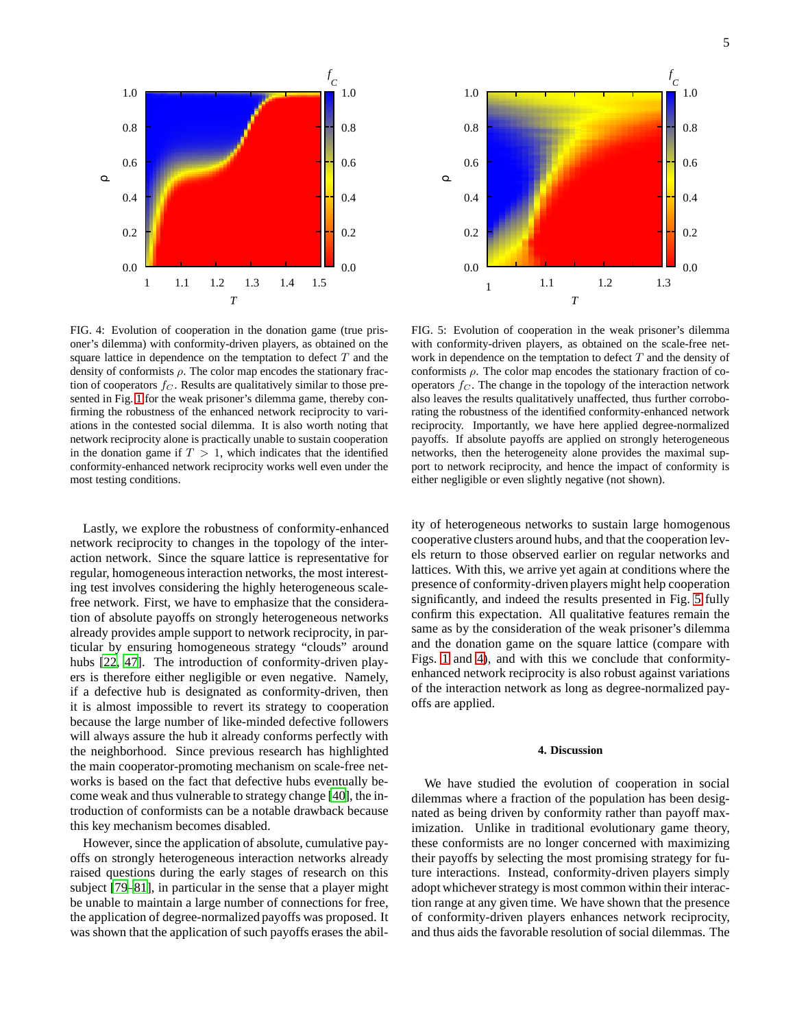

<span id="page-4-0"></span>FIG. 4: Evolution of cooperation in the donation game (true prisoner's dilemma) with conformity-driven players, as obtained on the square lattice in dependence on the temptation to defect  $T$  and the density of conformists  $\rho$ . The color map encodes the stationary fraction of cooperators  $f_C$ . Results are qualitatively similar to those presented in Fig. [1](#page-2-0) for the weak prisoner's dilemma game, thereby confirming the robustness of the enhanced network reciprocity to variations in the contested social dilemma. It is also worth noting that network reciprocity alone is practically unable to sustain cooperation in the donation game if  $T > 1$ , which indicates that the identified conformity-enhanced network reciprocity works well even under the most testing conditions.

Lastly, we explore the robustness of conformity-enhanced network reciprocity to changes in the topology of the interaction network. Since the square lattice is representative for regular, homogeneous interaction networks, the most interesting test involves considering the highly heterogeneous scalefree network. First, we have to emphasize that the consideration of absolute payoffs on strongly heterogeneous networks already provides ample support to network reciprocity, in particular by ensuring homogeneous strategy "clouds" around hubs [\[22,](#page-6-22) [47\]](#page-6-11). The introduction of conformity-driven players is therefore either negligible or even negative. Namely, if a defective hub is designated as conformity-driven, then it is almost impossible to revert its strategy to cooperation because the large number of like-minded defective followers will always assure the hub it already conforms perfectly with the neighborhood. Since previous research has highlighted the main cooperator-promoting mechanism on scale-free networks is based on the fact that defective hubs eventually become weak and thus vulnerable to strategy change [\[40](#page-6-7)], the introduction of conformists can be a notable drawback because this key mechanism becomes disabled.

However, since the application of absolute, cumulative payoffs on strongly heterogeneous interaction networks already raised questions during the early stages of research on this subject [\[79](#page-7-15)[–81](#page-7-16)], in particular in the sense that a player might be unable to maintain a large number of connections for free, the application of degree-normalized payoffs was proposed. It was shown that the application of such payoffs erases the abil-



<span id="page-4-1"></span>FIG. 5: Evolution of cooperation in the weak prisoner's dilemma with conformity-driven players, as obtained on the scale-free network in dependence on the temptation to defect  $T$  and the density of conformists  $\rho$ . The color map encodes the stationary fraction of cooperators  $f_C$ . The change in the topology of the interaction network also leaves the results qualitatively unaffected, thus further corroborating the robustness of the identified conformity-enhanced network reciprocity. Importantly, we have here applied degree-normalized payoffs. If absolute payoffs are applied on strongly heterogeneous networks, then the heterogeneity alone provides the maximal support to network reciprocity, and hence the impact of conformity is either negligible or even slightly negative (not shown).

ity of heterogeneous networks to sustain large homogenous cooperative clusters around hubs, and that the cooperation levels return to those observed earlier on regular networks and lattices. With this, we arrive yet again at conditions where the presence of conformity-driven players might help cooperation significantly, and indeed the results presented in Fig. [5](#page-4-1) fully confirm this expectation. All qualitative features remain the same as by the consideration of the weak prisoner's dilemma and the donation game on the square lattice (compare with Figs. [1](#page-2-0) and [4\)](#page-4-0), and with this we conclude that conformityenhanced network reciprocity is also robust against variations of the interaction network as long as degree-normalized payoffs are applied.

## **4. Discussion**

We have studied the evolution of cooperation in social dilemmas where a fraction of the population has been designated as being driven by conformity rather than payoff maximization. Unlike in traditional evolutionary game theory, these conformists are no longer concerned with maximizing their payoffs by selecting the most promising strategy for future interactions. Instead, conformity-driven players simply adopt whichever strategy is most common within their interaction range at any given time. We have shown that the presence of conformity-driven players enhances network reciprocity, and thus aids the favorable resolution of social dilemmas. The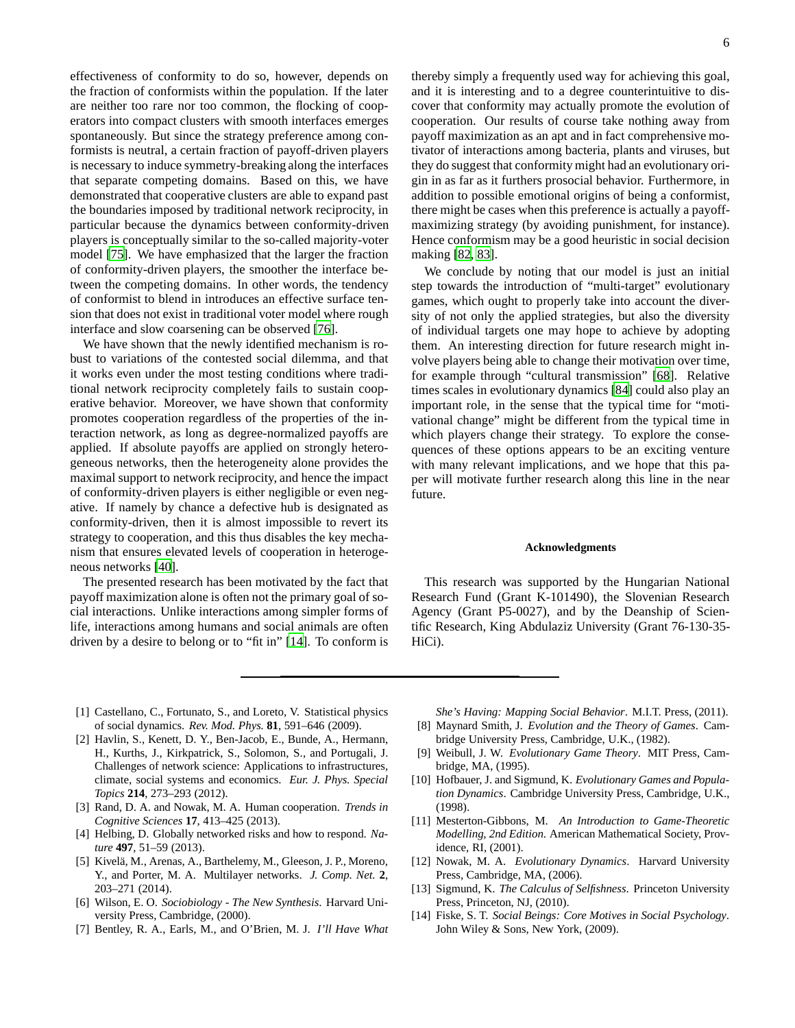effectiveness of conformity to do so, however, depends on the fraction of conformists within the population. If the later are neither too rare nor too common, the flocking of cooperators into compact clusters with smooth interfaces emerges spontaneously. But since the strategy preference among conformists is neutral, a certain fraction of payoff-driven players is necessary to induce symmetry-breaking along the interfaces that separate competing domains. Based on this, we have demonstrated that cooperative clusters are able to expand past the boundaries imposed by traditional network reciprocity, in particular because the dynamics between conformity-driven players is conceptually similar to the so-called majority-voter model [\[75](#page-7-11)]. We have emphasized that the larger the fraction of conformity-driven players, the smoother the interface between the competing domains. In other words, the tendency of conformist to blend in introduces an effective surface tension that does not exist in traditional voter model where rough interface and slow coarsening can be observed [\[76\]](#page-7-12).

We have shown that the newly identified mechanism is robust to variations of the contested social dilemma, and that it works even under the most testing conditions where traditional network reciprocity completely fails to sustain cooperative behavior. Moreover, we have shown that conformity promotes cooperation regardless of the properties of the interaction network, as long as degree-normalized payoffs are applied. If absolute payoffs are applied on strongly heterogeneous networks, then the heterogeneity alone provides the maximal support to network reciprocity, and hence the impact of conformity-driven players is either negligible or even negative. If namely by chance a defective hub is designated as conformity-driven, then it is almost impossible to revert its strategy to cooperation, and this thus disables the key mechanism that ensures elevated levels of cooperation in heterogeneous networks [\[40\]](#page-6-7).

The presented research has been motivated by the fact that payoff maximization alone is often not the primary goal of social interactions. Unlike interactions among simpler forms of life, interactions among humans and social animals are often driven by a desire to belong or to "fit in" [\[14\]](#page-5-6). To conform is

thereby simply a frequently used way for achieving this goal, and it is interesting and to a degree counterintuitive to discover that conformity may actually promote the evolution of cooperation. Our results of course take nothing away from payoff maximization as an apt and in fact comprehensive motivator of interactions among bacteria, plants and viruses, but they do suggest that conformity might had an evolutionary origin in as far as it furthers prosocial behavior. Furthermore, in addition to possible emotional origins of being a conformist, there might be cases when this preference is actually a payoffmaximizing strategy (by avoiding punishment, for instance). Hence conformism may be a good heuristic in social decision making [\[82,](#page-7-17) [83\]](#page-7-18).

We conclude by noting that our model is just an initial step towards the introduction of "multi-target" evolutionary games, which ought to properly take into account the diversity of not only the applied strategies, but also the diversity of individual targets one may hope to achieve by adopting them. An interesting direction for future research might involve players being able to change their motivation over time, for example through "cultural transmission" [\[68](#page-7-4)]. Relative times scales in evolutionary dynamics [\[84](#page-7-19)] could also play an important role, in the sense that the typical time for "motivational change" might be different from the typical time in which players change their strategy. To explore the consequences of these options appears to be an exciting venture with many relevant implications, and we hope that this paper will motivate further research along this line in the near future.

### **Acknowledgments**

This research was supported by the Hungarian National Research Fund (Grant K-101490), the Slovenian Research Agency (Grant P5-0027), and by the Deanship of Scientific Research, King Abdulaziz University (Grant 76-130-35- HiCi).

- <span id="page-5-0"></span>[1] Castellano, C., Fortunato, S., and Loreto, V. Statistical physics of social dynamics. *Rev. Mod. Phys.* **81**, 591–646 (2009).
- [2] Havlin, S., Kenett, D. Y., Ben-Jacob, E., Bunde, A., Hermann, H., Kurths, J., Kirkpatrick, S., Solomon, S., and Portugali, J. Challenges of network science: Applications to infrastructures, climate, social systems and economics. *Eur. J. Phys. Special Topics* **214**, 273–293 (2012).
- [3] Rand, D. A. and Nowak, M. A. Human cooperation. *Trends in Cognitive Sciences* **17**, 413–425 (2013).
- [4] Helbing, D. Globally networked risks and how to respond. *Nature* **497**, 51–59 (2013).
- <span id="page-5-1"></span>[5] Kivelä, M., Arenas, A., Barthelemy, M., Gleeson, J. P., Moreno, Y., and Porter, M. A. Multilayer networks. *J. Comp. Net.* **2**, 203–271 (2014).
- <span id="page-5-2"></span>[6] Wilson, E. O. *Sociobiology - The New Synthesis*. Harvard University Press, Cambridge, (2000).
- <span id="page-5-3"></span>[7] Bentley, R. A., Earls, M., and O'Brien, M. J. *I'll Have What*

*She's Having: Mapping Social Behavior*. M.I.T. Press, (2011).

- <span id="page-5-4"></span>[8] Maynard Smith, J. *Evolution and the Theory of Games*. Cambridge University Press, Cambridge, U.K., (1982).
- [9] Weibull, J. W. *Evolutionary Game Theory*. MIT Press, Cambridge, MA, (1995).
- [10] Hofbauer, J. and Sigmund, K. *Evolutionary Games and Population Dynamics*. Cambridge University Press, Cambridge, U.K., (1998).
- [11] Mesterton-Gibbons, M. *An Introduction to Game-Theoretic Modelling, 2nd Edition*. American Mathematical Society, Providence, RI, (2001).
- [12] Nowak, M. A. *Evolutionary Dynamics*. Harvard University Press, Cambridge, MA, (2006).
- <span id="page-5-5"></span>[13] Sigmund, K. *The Calculus of Selfishness*. Princeton University Press, Princeton, NJ, (2010).
- <span id="page-5-6"></span>[14] Fiske, S. T. *Social Beings: Core Motives in Social Psychology*. John Wiley & Sons, New York, (2009).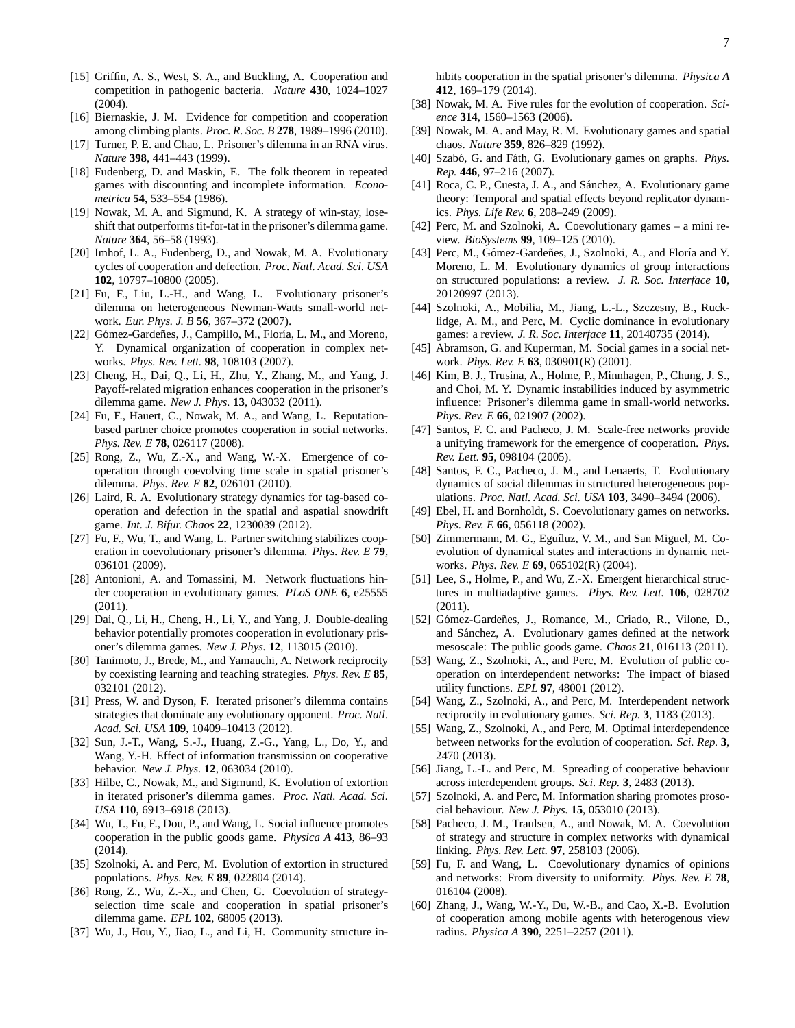- <span id="page-6-0"></span>[15] Griffin, A. S., West, S. A., and Buckling, A. Cooperation and competition in pathogenic bacteria. *Nature* **430**, 1024–1027 (2004).
- <span id="page-6-1"></span>[16] Biernaskie, J. M. Evidence for competition and cooperation among climbing plants. *Proc. R. Soc. B* **278**, 1989–1996 (2010).
- <span id="page-6-2"></span>[17] Turner, P. E. and Chao, L. Prisoner's dilemma in an RNA virus. *Nature* **398**, 441–443 (1999).
- <span id="page-6-3"></span>[18] Fudenberg, D. and Maskin, E. The folk theorem in repeated games with discounting and incomplete information. *Econometrica* **54**, 533–554 (1986).
- [19] Nowak, M. A. and Sigmund, K. A strategy of win-stay, loseshift that outperforms tit-for-tat in the prisoner's dilemma game. *Nature* **364**, 56–58 (1993).
- [20] Imhof, L. A., Fudenberg, D., and Nowak, M. A. Evolutionary cycles of cooperation and defection. *Proc. Natl. Acad. Sci. USA* **102**, 10797–10800 (2005).
- [21] Fu, F., Liu, L.-H., and Wang, L. Evolutionary prisoner's dilemma on heterogeneous Newman-Watts small-world network. *Eur. Phys. J. B* **56**, 367–372 (2007).
- <span id="page-6-22"></span>[22] Gómez-Gardeñes, J., Campillo, M., Floría, L. M., and Moreno, Y. Dynamical organization of cooperation in complex networks. *Phys. Rev. Lett.* **98**, 108103 (2007).
- [23] Cheng, H., Dai, Q., Li, H., Zhu, Y., Zhang, M., and Yang, J. Payoff-related migration enhances cooperation in the prisoner's dilemma game. *New J. Phys.* **13**, 043032 (2011).
- [24] Fu, F., Hauert, C., Nowak, M. A., and Wang, L. Reputationbased partner choice promotes cooperation in social networks. *Phys. Rev. E* **78**, 026117 (2008).
- [25] Rong, Z., Wu, Z.-X., and Wang, W.-X. Emergence of cooperation through coevolving time scale in spatial prisoner's dilemma. *Phys. Rev. E* **82**, 026101 (2010).
- [26] Laird, R. A. Evolutionary strategy dynamics for tag-based cooperation and defection in the spatial and aspatial snowdrift game. *Int. J. Bifur. Chaos* **22**, 1230039 (2012).
- [27] Fu, F., Wu, T., and Wang, L. Partner switching stabilizes cooperation in coevolutionary prisoner's dilemma. *Phys. Rev. E* **79**, 036101 (2009).
- [28] Antonioni, A. and Tomassini, M. Network fluctuations hinder cooperation in evolutionary games. *PLoS ONE* **6**, e25555 (2011).
- <span id="page-6-20"></span>[29] Dai, Q., Li, H., Cheng, H., Li, Y., and Yang, J. Double-dealing behavior potentially promotes cooperation in evolutionary prisoner's dilemma games. *New J. Phys.* **12**, 113015 (2010).
- [30] Tanimoto, J., Brede, M., and Yamauchi, A. Network reciprocity by coexisting learning and teaching strategies. *Phys. Rev. E* **85**, 032101 (2012).
- [31] Press, W. and Dyson, F. Iterated prisoner's dilemma contains strategies that dominate any evolutionary opponent. *Proc. Natl. Acad. Sci. USA* **109**, 10409–10413 (2012).
- [32] Sun, J.-T., Wang, S.-J., Huang, Z.-G., Yang, L., Do, Y., and Wang, Y.-H. Effect of information transmission on cooperative behavior. *New J. Phys.* **12**, 063034 (2010).
- [33] Hilbe, C., Nowak, M., and Sigmund, K. Evolution of extortion in iterated prisoner's dilemma games. *Proc. Natl. Acad. Sci. USA* **110**, 6913–6918 (2013).
- [34] Wu, T., Fu, F., Dou, P., and Wang, L. Social influence promotes cooperation in the public goods game. *Physica A* **413**, 86–93 (2014).
- [35] Szolnoki, A. and Perc, M. Evolution of extortion in structured populations. *Phys. Rev. E* **89**, 022804 (2014).
- [36] Rong, Z., Wu, Z.-X., and Chen, G. Coevolution of strategyselection time scale and cooperation in spatial prisoner's dilemma game. *EPL* **102**, 68005 (2013).
- <span id="page-6-4"></span>[37] Wu, J., Hou, Y., Jiao, L., and Li, H. Community structure in-

hibits cooperation in the spatial prisoner's dilemma. *Physica A* **412**, 169–179 (2014).

- <span id="page-6-5"></span>[38] Nowak, M. A. Five rules for the evolution of cooperation. *Science* **314**, 1560–1563 (2006).
- <span id="page-6-6"></span>[39] Nowak, M. A. and May, R. M. Evolutionary games and spatial chaos. *Nature* **359**, 826–829 (1992).
- <span id="page-6-7"></span>[40] Szabó, G. and Fáth, G. Evolutionary games on graphs. *Phys. Rep.* **446**, 97–216 (2007).
- [41] Roca, C. P., Cuesta, J. A., and Sánchez, A. Evolutionary game theory: Temporal and spatial effects beyond replicator dynamics. *Phys. Life Rev.* **6**, 208–249 (2009).
- <span id="page-6-19"></span>[42] Perc, M. and Szolnoki, A. Coevolutionary games – a mini review. *BioSystems* **99**, 109–125 (2010).
- [43] Perc, M., Gómez-Gardeñes, J., Szolnoki, A., and Floría and Y. Moreno, L. M. Evolutionary dynamics of group interactions on structured populations: a review. *J. R. Soc. Interface* **10**, 20120997 (2013).
- <span id="page-6-8"></span>[44] Szolnoki, A., Mobilia, M., Jiang, L.-L., Szczesny, B., Rucklidge, A. M., and Perc, M. Cyclic dominance in evolutionary games: a review. *J. R. Soc. Interface* **11**, 20140735 (2014).
- <span id="page-6-9"></span>[45] Abramson, G. and Kuperman, M. Social games in a social network. *Phys. Rev. E* **63**, 030901(R) (2001).
- <span id="page-6-10"></span>[46] Kim, B. J., Trusina, A., Holme, P., Minnhagen, P., Chung, J. S., and Choi, M. Y. Dynamic instabilities induced by asymmetric influence: Prisoner's dilemma game in small-world networks. *Phys. Rev. E* **66**, 021907 (2002).
- <span id="page-6-11"></span>[47] Santos, F. C. and Pacheco, J. M. Scale-free networks provide a unifying framework for the emergence of cooperation. *Phys. Rev. Lett.* **95**, 098104 (2005).
- <span id="page-6-12"></span>[48] Santos, F. C., Pacheco, J. M., and Lenaerts, T. Evolutionary dynamics of social dilemmas in structured heterogeneous populations. *Proc. Natl. Acad. Sci. USA* **103**, 3490–3494 (2006).
- <span id="page-6-13"></span>[49] Ebel, H. and Bornholdt, S. Coevolutionary games on networks. *Phys. Rev. E* **66**, 056118 (2002).
- <span id="page-6-14"></span>[50] Zimmermann, M. G., Eguíluz, V. M., and San Miguel, M. Coevolution of dynamical states and interactions in dynamic networks. *Phys. Rev. E* **69**, 065102(R) (2004).
- <span id="page-6-15"></span>[51] Lee, S., Holme, P., and Wu, Z.-X. Emergent hierarchical structures in multiadaptive games. *Phys. Rev. Lett.* **106**, 028702 (2011).
- <span id="page-6-16"></span>[52] Gómez-Gardeñes, J., Romance, M., Criado, R., Vilone, D., and Sánchez, A. Evolutionary games defined at the network mesoscale: The public goods game. *Chaos* **21**, 016113 (2011).
- <span id="page-6-17"></span>[53] Wang, Z., Szolnoki, A., and Perc, M. Evolution of public cooperation on interdependent networks: The impact of biased utility functions. *EPL* **97**, 48001 (2012).
- [54] Wang, Z., Szolnoki, A., and Perc, M. Interdependent network reciprocity in evolutionary games. *Sci. Rep.* **3**, 1183 (2013).
- [55] Wang, Z., Szolnoki, A., and Perc, M. Optimal interdependence between networks for the evolution of cooperation. *Sci. Rep.* **3**, 2470 (2013).
- [56] Jiang, L.-L. and Perc, M. Spreading of cooperative behaviour across interdependent groups. *Sci. Rep.* **3**, 2483 (2013).
- <span id="page-6-18"></span>[57] Szolnoki, A. and Perc, M. Information sharing promotes prosocial behaviour. *New J. Phys.* **15**, 053010 (2013).
- <span id="page-6-21"></span>[58] Pacheco, J. M., Traulsen, A., and Nowak, M. A. Coevolution of strategy and structure in complex networks with dynamical linking. *Phys. Rev. Lett.* **97**, 258103 (2006).
- [59] Fu, F. and Wang, L. Coevolutionary dynamics of opinions and networks: From diversity to uniformity. *Phys. Rev. E* **78**, 016104 (2008).
- [60] Zhang, J., Wang, W.-Y., Du, W.-B., and Cao, X.-B. Evolution of cooperation among mobile agents with heterogenous view radius. *Physica A* **390**, 2251–2257 (2011).